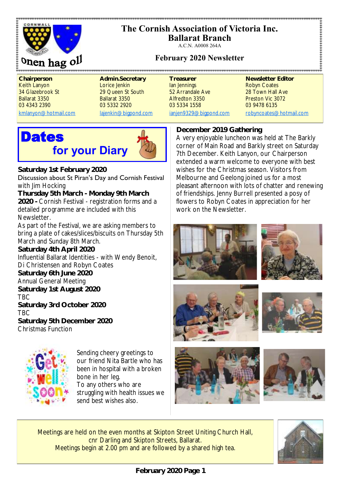

# **The Cornish Association of Victoria Inc.**

**Ballarat Branch**

A.C.N. A0008 264A

# **February 2020 Newsletter**

**Chairperson <b>Admin.Secretary** Treasurer Newsletter Editor Keith Lanyon **Lorice Jenkin** Ian Jennings **Robyn Coates** Robyn Coates 34 Glazebrook St 29 Queen St South 52 Arrandale Ave 28 Town Hall Ave Ballarat 3350 Ballarat 3350 Alfredton 3350 Preston Vic 3072 03 4343 2390 03 5332 2920 03 5334 1558 03 9478 6135

[kmlanyon@hotmail.com](mailto:kmlanyon@hotmail.com) [lajenkin@bigpond.com](mailto:lajenkin@bigpond.com) [ianjen9329@bigpond.com](mailto:ianjen9329@bigpond.com) [robyncoates@hotmail.com](mailto:robynjcoates@iinet.net.au)

.......................

# **Dates for your Diary**



**Saturday 1st February 2020** Discussion about St Piran's Day and Cornish Festival with Jim Hocking

**Thursday 5th March - Monday 9th March 2020 -** Cornish Festival - registration forms and a detailed programme are included with this **Newsletter** 

As part of the Festival, we are asking members to bring a plate of cakes/slices/biscuits on Thursday 5th March and Sunday 8th March. **Saturday 4th April 2020**  Influential Ballarat Identities - with Wendy Benoit,

Di Christensen and Robyn Coates

**Saturday 6th June 2020**

Annual General Meeting

**Saturday 1st August 2020**

TBC

**Saturday 3rd October 2020** TBC

**Saturday 5th December 2020** Christmas Function



Sending cheery greetings to our friend Nita Bartle who has been in hospital with a broken bone in her leg. To any others who are struggling with health issues we send best wishes also.

# **December 2019 Gathering**

A very enjoyable luncheon was held at The Barkly corner of Main Road and Barkly street on Saturday 7th December. Keith Lanyon, our Chairperson extended a warm welcome to everyone with best wishes for the Christmas season. Visitors from Melbourne and Geelong joined us for a most pleasant afternoon with lots of chatter and renewing of friendships. Jenny Burrell presented a posy of flowers to Robyn Coates in appreciation for her work on the Newsletter.













Meetings are held on the even months at Skipton Street Uniting Church Hall, cnr Darling and Skipton Streets, Ballarat. Meetings begin at 2.00 pm and are followed by a shared high tea.

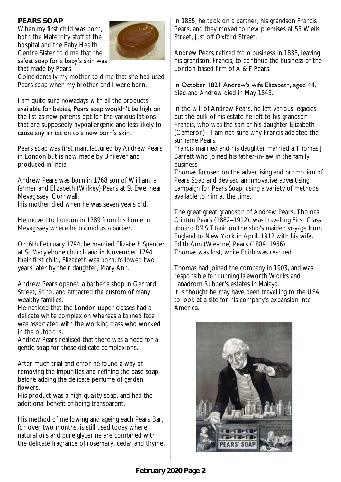## **PEARS SOAP**

When my first child was born, both the Maternity staff at the hospital and the Baby Health Centre Sister told me that the safest soap for a baby's skin was that made by Pears.



Coincidentally my mother told me that she had used Pears soap when my brother and I were born.

I am quite sure nowadays with all the products available for babies, Pears soap wouldn't be high on the list as new parents opt for the various lotions that are supposedly hypoallergenic and less likely to cause any irritation to a new born's skin.

Pears soap was first manufactured by Andrew Pears in London but is now made by Unilever and produced in India.

Andrew Pears was born in 1768 son of William, a farmer and Elizabeth (Wilkey) Pears at St Ewe, near Mevagissey, Cornwall.

His mother died when he was seven years old.

He moved to London in 1789 from his home in Mevagissey where he trained as a barber.

On 6th February 1794, he married Elizabeth Spencer at St Marylebone church and in November 1794 their first child, Elizabeth was born, followed two years later by their daughter, Mary Ann.

Andrew Pears opened a barber's shop in Gerrard Street, Soho, and attracted the custom of many wealthy families.

He noticed that the London upper classes had a delicate white complexion whereas a tanned face was associated with the working class who worked in the outdoors.

Andrew Pears realised that there was a need for a gentle soap for these delicate complexions.

After much trial and error he found a way of removing the impurities and refining the base soap before adding the delicate perfume of garden flowers.

His product was a high-quality soap, and had the additional benefit of being transparent.

His method of mellowing and ageing each Pears Bar, for over two months, is still used today where natural oils and pure glycerine are combined with the delicate fragrance of rosemary, cedar and thyme. In 1835, he took on a partner, his grandson Francis Pears, and they moved to new premises at 55 Wells Street, just off Oxford Street.

Andrew Pears retired from business in 1838, leaving his grandson, Francis, to continue the business of the London-based firm of A & F Pears.

#### In October 1821 Andrew's wife Elizabeth, aged 44, died and Andrew died in May 1845.

In the will of Andrew Pears, he left various legacies but the bulk of his estate he left to his grandson Francis, who was the son of his daughter Elizabeth (Cameron) - I am not sure why Francis adopted the surname Pears.

Francis married and his daughter married a Thomas J Barratt who joined his father-in-law in the family business.

Thomas focused on the advertising and promotion of Pears Soap and devised an innovative advertising campaign for Pears Soap, using a variety of methods available to him at the time.

The great great grandson of Andrew Pears, Thomas Clinton Pears (1882–1912), was travelling First Class aboard *RMS Titanic* on the ship's maiden voyage from England to New York in April, 1912 with his wife, Edith Ann (Wearne) Pears (1889–1956). Thomas was lost, while Edith was rescued.

Thomas had joined the company in 1903, and was responsible for running Isleworth Works and Lanadrom Rubber's estates in Malaya. It is thought he may have been travelling to the USA to look at a site for his company's expansion into America.

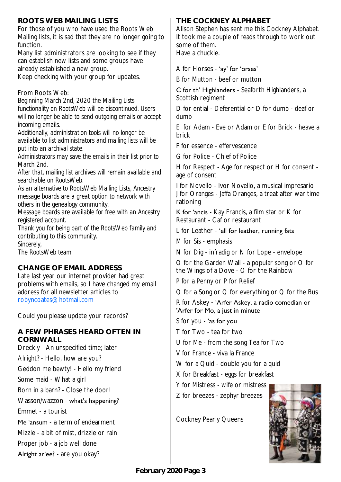# **ROOTS WEB MAILING LISTS**

For those of you who have used the Roots Web Mailing lists, it is sad that they are no longer going to function.

Many list administrators are looking to see if they can establish new lists and some groups have already established a new group. Keep checking with your group for updates.

From Roots Web:

*Beginning March 2nd, 2020 the Mailing Lists functionality on RootsWeb will be discontinued. Users will no longer be able to send outgoing emails or accept incoming emails.* 

*Additionally, administration tools will no longer be available to list administrators and mailing lists will be put into an archival state.*

*Administrators may save the emails in their list prior to March 2nd.*

*After that, mailing list archives will remain available and searchable on RootsWeb.*

*As an alternative to RootsWeb Mailing Lists, Ancestry message boards are a great option to network with others in the genealogy community.*

*Message boards are available for free with an Ancestry registered account.*

*Thank you for being part of the RootsWeb family and contributing to this community.*

*Sincerely,*

*The RootsWeb team*

#### **CHANGE OF EMAIL ADDRESS**

Late last year our internet provider had great problems with emails, so I have changed my email address for all newsletter articles to [robyncoates@hotmail.com](mailto:robyncoates@hotmail.com)

Could you please update your records?

#### **A FEW PHRASES HEARD OFTEN IN CORNWALL**

Dreckly - An unspecified time; later

Alright? - Hello, how are you?

Geddon me bewty! - Hello my friend

Some maid - What a girl

Born in a barn? - Close the door!

Wasson/wazzon - what's happening?

Emmet - a tourist

Me 'ansum - a term of endearment

Mizzle - a bit of mist, drizzle or rain

Proper job - a job well done

Alright ar'ee? - are you okay?

#### **THE COCKNEY ALPHABET**

Alison Stephen has sent me this Cockney Alphabet. It took me a couple of reads through to work out some of them. Have a chuckle.

A for Horses - 'ay' for 'orses'

B for Mutton - beef or mutton

C for th' Highlanders - Seaforth Highlanders, a Scottish regiment

D for ential - Deferential or D for dumb - deaf or dumb

E for Adam - Eve or Adam or E for Brick - heave a brick

F for essence - effervescence

G for Police - Chief of Police

H for Respect - Age for respect or H for consent age of consent

I for Novello - Ivor Novello, a musical impresario J for Oranges - Jaffa Oranges, a treat after war time rationing

K for 'ancis - Kay Francis, a film star or K for Restaurant - Caf or restaurant

L for Leather - 'ell for leather, running fats

M for Sis - emphasis

N for Dig - infradig or N for Lope - envelope

O for the Garden Wall - a popular song or O for the Wings of a Dove - O for the Rainbow

P for a Penny or P for Relief

Q for a Song or Q for everything or Q for the Bus

R for Askey - 'Arfer Askey, a radio comedian or 'Arfer for Mo, a just in minute

S for you - 'as for you

T for Two - tea for two

U for Me - from the song Tea for Two

V for France - viva la France

W for a Quid - double you for a quid

X for Breakfast - eggs for breakfast

Y for Mistress - wife or mistress

Z for breezes - zephyr breezes

Cockney Pearly Queens

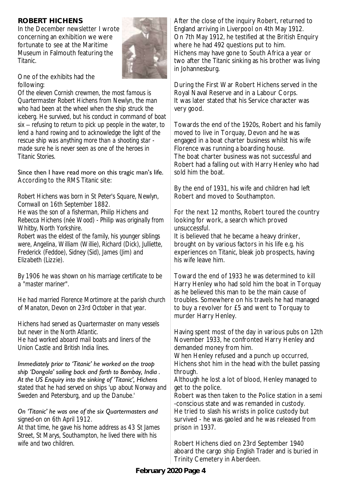# **ROBERT HICHENS**

In the December newsletter I wrote concerning an exhibition we were fortunate to see at the Maritime Museum in Falmouth featuring the *Titanic*.



One of the exhibits had the following:

*Of the eleven Cornish crewmen, the most famous is Quartermaster Robert Hichens from Newlyn, the man who had been at the wheel when the ship struck the iceberg. He survived, but his conduct in command of boat six – refusing to return to pick up people in the water, to*  lend a hand rowing and to acknowledge the light of the *rescue ship was anything more than a shooting star made sure he is never seen as one of the heroes in Titanic Stories.*

#### Since then I have read more on this tragic man's life. According to the *RMS Titanic* site:

*Robert Hichens was born in St Peter's Square, Newlyn, Cornwall on 16th September 1882. He was the son of a fisherman, Philip Hichens and Rebecca Hichens (née Wood) - Philip was originally from Whitby, North Yorkshire. Robert was the eldest of the family, his younger siblings were, Angelina, William (Willie), Richard (Dick), Julliette,* 

*Frederick (Feddoe), Sidney (Sid), James (Jim) and Elizabeth (Lizzie).*

*By 1906 he was shown on his marriage certificate to be a "master mariner".* 

*He had married Florence Mortimore at the parish church of Manaton, Devon on 23rd October in that year.*

*Hichens had served as Quartermaster on many vessels but never in the North Atlantic.* 

*He had worked aboard mail boats and liners of the Union Castle and British India lines.* 

*Immediately prior to 'Titanic' he worked on the troop ship 'Dongola' sailing back and forth to Bombay, India . At the US Enquiry into the sinking of 'Titanic', Hichens stated that he had served on ships 'up about Norway and Sweden and Petersburg, and up the Danube.'*

#### *On 'Titanic' he was one of the six Quartermasters and signed-on on 6th April 1912.*

*At that time, he gave his home address as 43 St James Street, St Marys, Southampton, he lived there with his wife and two children.*

After the close of the inquiry Robert, returned to England arriving in Liverpool on 4th May 1912. On 7th May 1912, he testified at the British Enquiry where he had 492 questions put to him. Hichens may have gone to South Africa a year or two after the *Titanic* sinking as his brother was living in Johannesburg.

During the First War Robert Hichens served in the Royal Naval Reserve and in a Labour Corps. It was later stated that his Service character was very good.

Towards the end of the 1920s, Robert and his family moved to live in Torquay, Devon and he was engaged in a boat charter business whilst his wife Florence was running a boarding house. The boat charter business was not successful and Robert had a falling out with Harry Henley who had sold him the boat.

By the end of 1931, his wife and children had left Robert and moved to Southampton.

For the next 12 months, Robert toured the country looking for work, a search which proved unsuccessful.

It is believed that he became a heavy drinker, brought on by various factors in his life e.g. his experiences on *Titanic*, bleak job prospects, having his wife leave him.

Toward the end of 1933 he was determined to kill Harry Henley who had sold him the boat in Torquay as he believed this man to be the main cause of troubles. Somewhere on his travels he had managed to buy a revolver for £5 and went to Torquay to murder Harry Henley.

Having spent most of the day in various pubs on 12th November 1933, he confronted Harry Henley and demanded money from him.

When Henley refused and a punch up occurred. Hichens shot him in the head with the bullet passing through.

Although he lost a lot of blood, Henley managed to get to the police.

Robert was then taken to the Police station in a semi -conscious state and was remanded in custody. He tried to slash his wrists in police custody but survived - he was gaoled and he was released from prison in 1937.

Robert Hichens died on 23rd September 1940 aboard the cargo ship *English Trader* and is buried in Trinity Cemetery in Aberdeen.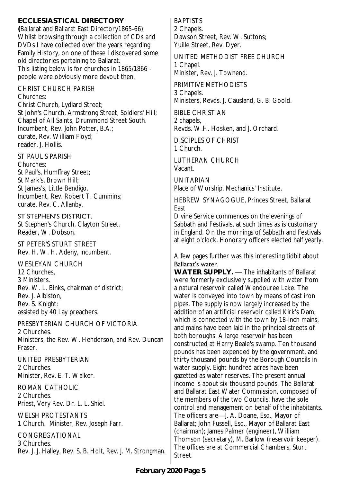**ECCLESIASTICAL DIRECTORY (**Ballarat and Ballarat East Directory1865-66) Whilst browsing through a collection of CDs and DVDs I have collected over the years regarding Family History, on one of these I discovered some old directories pertaining to Ballarat. This listing below is for churches in 1865/1866 people were obviously more devout then.

CHRIST CHURCH PARISH Churches:

Christ Church, Lydiard Street; St John's Church, Armstrong Street, Soldiers' Hill; Chapel of All Saints, Drummond Street South. Incumbent, Rev. John Potter, B.A.; curate, Rev. William Floyd; reader, J. Hollis.

ST PAUL'S PARISH

Churches: St Paul's, Humffray Street; St Mark's, Brown Hill; St James's, Little Bendigo. Incumbent, Rev. Robert T. Cummins; curate, Rev. C. Allanby.

#### ST STEPHEN'S DISTRICT.

St Stephen's Church, Clayton Street. Reader, W. Dobson.

ST PETER'S STURT STREET Rev. H. W. H. Adeny, incumbent.

WESLEYAN CHURCH 12 Churches, 3 Ministers. Rev. W. L. Binks, chairman of district; Rev. J. Albiston, Rev. S. Knight: assisted by 40 Lay preachers.

PRESBYTERIAN CHURCH OF VICTORIA 2 Churches. Ministers, the Rev. W. Henderson, and Rev. Duncan Fraser.

UNITED PRESBYTERIAN 2 Churches. Minister, Rev. E. T. Walker.

ROMAN CATHOLIC 2 Churches. Priest, Very Rev. Dr. L. L. Shiel.

WELSH PROTESTANTS 1 Church. Minister, Rev. Joseph Farr.

CONGREGATIONAL 3 Churches. Rev. J. J. Halley, Rev. S. B. Holt, Rev. J. M. Strongman. BAPTISTS 2 Chapels. Dawson Street, Rev. W. Suttons; Yuille Street, Rev. Dyer.

UNITED METHODIST FREE CHURCH 1 Chapel. Minister, Rev. J. Townend.

PRIMITIVE METHODISTS 3 Chapels. Ministers, Revds. J. Causland, G. B. Goold.

BIBLE CHRISTIAN 2 chapels, Revds. W.H. Hosken, and J. Orchard.

DISCIPLES OF CHRIST 1 Church.

LUTHERAN CHURCH Vacant.

UNITARIAN Place of Worship, Mechanics' Institute.

HEBREW SYNAGOGUE, Princes Street, Ballarat East

Divine Service commences on the evenings of Sabbath and Festivals, at such times as is customary in England. On the mornings of Sabbath and Festivals at eight o'clock. Honorary officers elected half yearly.

A few pages further was this interesting tidbit about Ballarat's water.

WATER SUPPLY. — The inhabitants of Ballarat were formerly exclusively supplied with water from a natural reservoir called Wendouree Lake. The water is conveyed into town by means of cast iron pipes. The supply is now largely increased by the addition of an artificial reservoir called Kirk's Dam, which is connected with the town by 18-inch mains, and mains have been laid in the principal streets of both boroughs. A large reservoir has been constructed at Harry Beale's swamp. Ten thousand pounds has been expended by the government, and thirty thousand pounds by the Borough Councils in water supply. Eight hundred acres have been gazetted as water reserves. The present annual income is about six thousand pounds. The Ballarat and Ballarat East Water Commission, composed of the members of the two Councils, have the sole control and management on behalf of the inhabitants. The officers are—J. A. Doane, Esq., Mayor of Ballarat; John Fussell, Esq., Mayor of Ballarat East (chairman); James Palmer (engineer), William Thomson (secretary), M. Barlow (reservoir keeper). The offices are at Commercial Chambers, Sturt Street.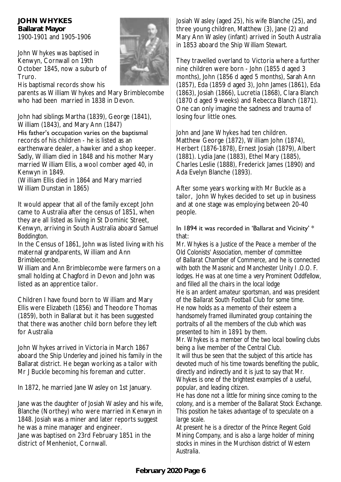**JOHN WHYKES Ballarat Mayor**  1900-1901 and 1905-1906

John Whykes was baptised in Kenwyn, Cornwall on 19th October 1845, now a suburb of Truro.

His baptismal records show his

parents as William Whykes and Mary Brimblecombe who had been married in 1838 in Devon.

John had siblings Martha (1839), George (1841), William (1843), and Mary Ann (1847)

His father's occupation varies on the baptismal records of his children - he is listed as an earthenware dealer, a hawker and a shop keeper. Sadly, William died in 1848 and his mother Mary married William Ellis, a wool comber aged 40, in Kenwyn in 1849.

(William Ellis died in 1864 and Mary married William Dunstan in 1865)

It would appear that all of the family except John came to Australia after the census of 1851, when they are all listed as living in St Dominic Street, Kenwyn, arriving in South Australia aboard *Samuel Boddington.*

In the Census of 1861, John was listed living with his maternal grandparents, William and Ann Brimblecombe.

William and Ann Brimblecombe were farmers on a small holding at Chagford in Devon and John was listed as an apprentice tailor.

Children I have found born to William and Mary Ellis were Elizabeth (1856) and Theodore Thomas (1859), both in Ballarat but it has been suggested that there was another child born before they left for Australia

John Whykes arrived in Victoria in March 1867 aboard the Ship *Underley* and joined his family in the Ballarat district. He began working as a tailor with Mr J Buckle becoming his foreman and cutter.

In 1872, he married Jane Wasley on 1st January.

Jane was the daughter of Josiah Wasley and his wife, Blanche (Northey) who were married in Kenwyn in 1848. Josiah was a miner and later reports suggest he was a mine manager and engineer. Jane was baptised on 23rd February 1851 in the district of Menheniot, Cornwall.

Josiah Wasley (aged 25), his wife Blanche (25), and three young children, Matthew (3), Jane (2) and Mary Ann Wasley (infant) arrived in South Australia in 1853 aboard the Ship *William Stewart.*

They travelled overland to Victoria where a further nine children were born - John (1855 d aged 3 months), John (1856 d aged 5 months), Sarah Ann (1857), Eda (1859 d aged 3), John James (1861), Eda (1863), Josiah (1866), Lucretia (1868), Clara Blanch (1870 d aged 9 weeks) and Rebecca Blanch (1871). One can only imagine the sadness and trauma of losing four little ones.

John and Jane Whykes had ten children. Matthew George (1872), William John (1874), Herbert (1876-1878), Ernest Josiah (1879), Albert (1881). Lydia Jane (1883), Ethel Mary (1885), Charles Leslie (1888), Frederick James (1890) and Ada Evelyn Blanche (1893).

After some years working with Mr Buckle as a tailor, John Whykes decided to set up in business and at one stage was employing between 20-40 people.

#### In 1894 it was recorded in 'Ballarat and Vicinity' \* that:

*Mr. Whykes is a Justice of the Peace a member of the Old Colonists' Association, member of committee of Ballarat Chamber of Commerce, and he is connected with both the Masonic and Manchester Unity I .O.O. F. lodges. He was at one time a very Prominent Oddfellow, and filled all the chairs in the local lodge He is an ardent amateur sportsman, and was president of the Ballarat South Football Club for some time. He now holds as a memento of their esteem a handsomely framed illuminated group containing the portraits of all the members of the club which was presented to him in 1891 by them.* 

*Mr. Whykes is a member of the two local bowling clubs being a live member of the Central Club.*

*It will thus be seen that the subject of this article has devoted much of his time towards benefiting the public, directly and indirectly and it is just to say that Mr. Whykes is one of the brightest examples of a useful, popular, and leading citizen.* 

*He has done not a little for mining since coming to the colony, and is a member of the Ballarat Stock Exchange. This position he takes advantage of to speculate on a large scale.* 

*At present he is a director of the Prince Regent Gold Mining Company, and is also a large holder of mining stocks in mines in the Murchison district of Western Australia.* 

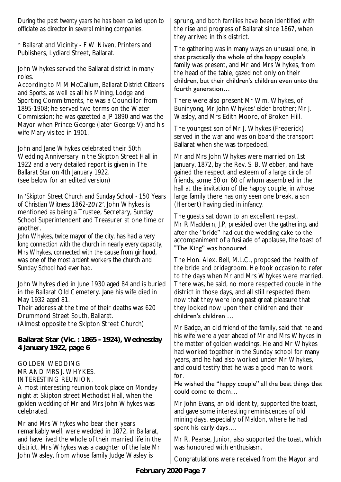*During the past twenty years he has been called upon to officiate as director in several mining companies.*

\* Ballarat and Vicinity - F W Niven, Printers and Publishers, Lydiard Street, Ballarat.

John Whykes served the Ballarat district in many roles.

According to M M McCallum, *Ballarat District Citizens and Sports,* as well as all his Mining, Lodge and Sporting Commitments, he was a Councillor from 1895-1908; he served two terms on the Water Commission; he was gazetted a JP 1890 and was the Mayor when Prince George (later George V) and his wife Mary visited in 1901.

John and Jane Whykes celebrated their 50th Wedding Anniversary in the Skipton Street Hall in 1922 and a very detailed report is given in *The Ballarat Star* on 4th January 1922*.* (see below for an edited version)

In '*Skipton Street Church and Sunday School - 150 Years of Christian Witness 1862-2012'*, John Whykes is mentioned as being a Trustee, Secretary, Sunday School Superintendent and Treasurer at one time or another.

*John Whykes, twice mayor of the city, has had a very long connection with the church in nearly every capacity, Mrs Whykes, connected with the cause from girlhood, was one of the most ardent workers the church and Sunday School had ever had.*

John Whykes died in June 1930 aged 84 and is buried in the Ballarat Old Cemetery. Jane his wife died in May 1932 aged 81.

Their address at the time of their deaths was 620 Drummond Street South, Ballarat.

(Almost opposite the Skipton Street Church)

**Ballarat Star (Vic. : 1865 - 1924), Wednesday 4 January 1922, page 6**

GOLDEN WEDDING

MR AND MRS J. WHYKES.

INTERESTING REUNION.

A most interesting reunion took place on Monday night at Skipton street Methodist Hall, when the golden wedding of Mr and Mrs John Whykes was celebrated.

Mr and Mrs Whykes who bear their years remarkably well, were wedded in 1872, in Ballarat, and have lived the whole of their married life in the district. Mrs Whykes was a daughter of the late Mr John Wasley, from whose family Judge Wasley is

sprung, and both families have been identified with the rise and progress of Ballarat since 1867, when they arrived in this district.

The gathering was in many ways an unusual one, in that practically the whole of the happy couple's family was present, and Mr and Mrs Whykes, from the head of the table, gazed not only on their children, but their children's children even unto the fourth generation…

There were also present Mr Wm. Whykes, of Buninyong, Mr John Whykes' elder brother; Mr J. Wasley, and Mrs Edith Moore, of Broken Hill.

The youngest son of Mr J. Whykes (Frederick) served in the war and was on board the transport Ballarat when she was torpedoed.

Mr and Mrs John Whykes were married on 1st January, 1872, by the Rev. S. B. Webber, and have gained the respect and esteem of a large circle of friends, some 50 or 60 of whom assembled in the hall at the invitation of the happy couple, in whose large family there has only seen one break, a son (Herbert) having died in infancy.

The guests sat down to an excellent re-past. Mr R Maddern, J.P, presided over the gathering, and after the ''bride'' had cut the wedding cake to the accompaniment of a fusilade of applause, the toast of "The King" was honoured.

The Hon. Alex. Bell, M.L.C., proposed the health of the bride and bridegroom. He took occasion to refer to the days when Mr and Mrs Whykes were married. There was, he said, no more respected couple in the district in those days, and all still respected them now that they were long past great pleasure that they looked now upon their children and their children's children …

Mr Badge, an old friend of the family, said that he and his wife were a year ahead of Mr and Mrs Whykes in the matter of golden weddings. He and Mr Whykes had worked together in the Sunday school for many years, and he had also worked under Mr Whykes, and could testify that he was a good man to work for.

#### He wished the "happy couple" all the best things that could come to them…

Mr John Evans, an old identity, supported the toast, and gave some interesting reminiscences of old mining days, especially of Maldon, where he had spent his early days….

Mr R. Pearse, Junior, also supported the toast, which was honoured with enthusiasm.

Congratulations were received from the Mayor and